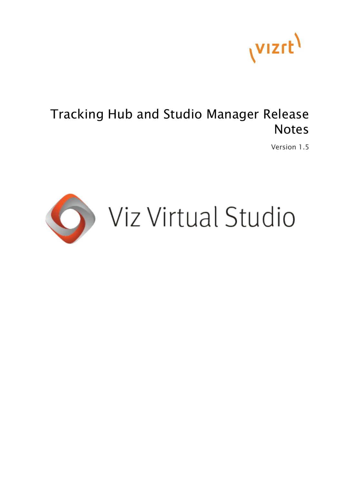

## Tracking Hub and Studio Manager Release Notes

Version 1.5

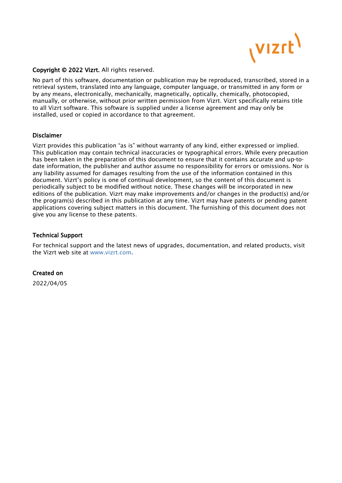

#### Copyright © 2022 Vizrt. All rights reserved.

No part of this software, documentation or publication may be reproduced, transcribed, stored in a retrieval system, translated into any language, computer language, or transmitted in any form or by any means, electronically, mechanically, magnetically, optically, chemically, photocopied, manually, or otherwise, without prior written permission from Vizrt. Vizrt specifically retains title to all Vizrt software. This software is supplied under a license agreement and may only be installed, used or copied in accordance to that agreement.

#### Disclaimer

Vizrt provides this publication "as is" without warranty of any kind, either expressed or implied. This publication may contain technical inaccuracies or typographical errors. While every precaution has been taken in the preparation of this document to ensure that it contains accurate and up-todate information, the publisher and author assume no responsibility for errors or omissions. Nor is any liability assumed for damages resulting from the use of the information contained in this document. Vizrt's policy is one of continual development, so the content of this document is periodically subject to be modified without notice. These changes will be incorporated in new editions of the publication. Vizrt may make improvements and/or changes in the product(s) and/or the program(s) described in this publication at any time. Vizrt may have patents or pending patent applications covering subject matters in this document. The furnishing of this document does not give you any license to these patents.

#### Technical Support

For technical support and the latest news of upgrades, documentation, and related products, visit the Vizrt web site at [www.vizrt.com.](http://www.vizrt.com)

#### Created on

2022/04/05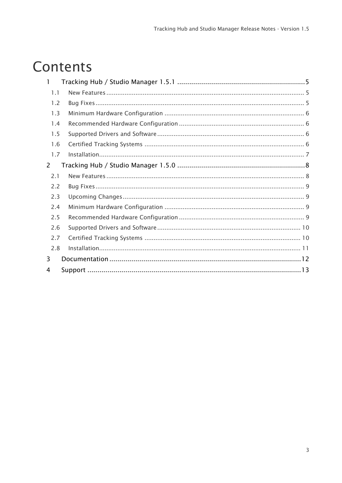# Contents

| 1.1 |  |
|-----|--|
| 1.2 |  |
| 1.3 |  |
| 1.4 |  |
| 1.5 |  |
| 1.6 |  |
| 1.7 |  |
| 2   |  |
| 2.1 |  |
| 2.2 |  |
| 2.3 |  |
| 2.4 |  |
| 2.5 |  |
| 2.6 |  |
| 2.7 |  |
| 2.8 |  |
| 3   |  |
| 4   |  |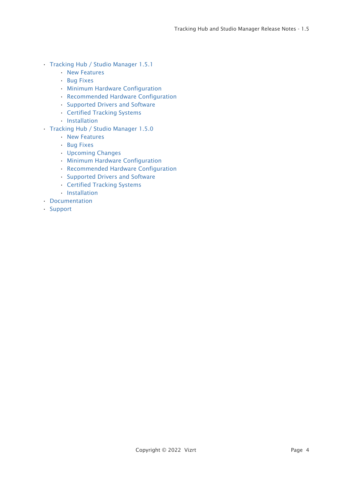- [Tracking Hub / Studio Manager 1.5.1](#page-4-0)
	- [New Features](#page-4-1)
	- [Bug Fixes](#page-4-2)
	- [Minimum Hardware Configuration](#page-5-0)
	- [Recommended Hardware Configuration](#page-5-1)
	- [Supported Drivers and Software](#page-5-2)
	- [Certified Tracking Systems](#page-5-3)
	- [Installation](#page-6-0)
- [Tracking Hub / Studio Manager 1.5.0](#page-7-0)
	- [New Features](#page-7-1)
	- [Bug Fixes](#page-8-0)
	- [Upcoming Changes](#page-8-1)
	- [Minimum Hardware Configuration](#page-8-2)
	- [Recommended Hardware Configuration](#page-8-3)
	- [Supported Drivers and Software](#page-9-0)
	- [Certified Tracking Systems](#page-9-1)
	- [Installation](#page-10-0)
- [Documentation](#page-11-0)
- [Support](#page-12-0)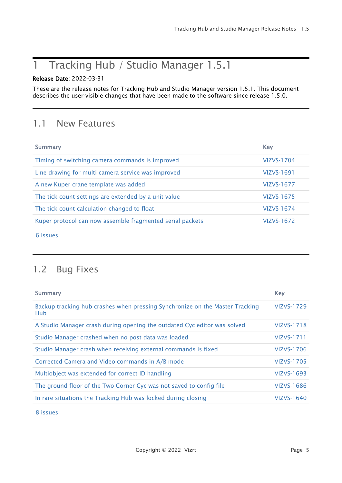## <span id="page-4-0"></span>1 Tracking Hub / Studio Manager 1.5.1

### Release Date: 2022-03-31

These are the release notes for Tracking Hub and Studio Manager version 1.5.1. This document describes the user-visible changes that have been made to the software since release 1.5.0.

### <span id="page-4-1"></span>1.1 New Features

| <b>Summary</b>                                            | <b>Key</b>        |
|-----------------------------------------------------------|-------------------|
| Timing of switching camera commands is improved           | VIZVS-1704        |
| Line drawing for multi camera service was improved        | VIZVS-1691        |
| A new Kuper crane template was added                      | VIZVS-1677        |
| The tick count settings are extended by a unit value      | VIZVS-1675        |
| The tick count calculation changed to float               | <b>VIZVS-1674</b> |
| Kuper protocol can now assemble fragmented serial packets | VIZVS-1672        |

[6 issues](https://jira.vizrt.com/secure/IssueNavigator.jspa?reset=true&jqlQuery=project+%3D+VIZVS+AND+issuetype+in+%28Improvement%2C+%22New+Feature%22%29+AND+fixVersion+%3D+VizVirtualSet-1.5.1+AND+Status+in+%28Closed%2C+Resolved%29+And+%22Release+Notes+Status%22++in+%28Needed%2C+Done%29++++&src=confmacro)

## <span id="page-4-2"></span>1.2 Bug Fixes

| <b>Summary</b>                                                                      | <b>Key</b>        |
|-------------------------------------------------------------------------------------|-------------------|
| Backup tracking hub crashes when pressing Synchronize on the Master Tracking<br>Hub | VIZVS-1729        |
| A Studio Manager crash during opening the outdated Cyc editor was solved            | <b>VIZVS-1718</b> |
| Studio Manager crashed when no post data was loaded                                 | VIZVS-1711        |
| Studio Manager crash when receiving external commands is fixed                      | <b>VIZVS-1706</b> |
| Corrected Camera and Video commands in A/B mode                                     | VIZVS-1705        |
| Multiobject was extended for correct ID handling                                    | VIZVS-1693        |
| The ground floor of the Two Corner Cyc was not saved to config file                 | VIZVS-1686        |
| In rare situations the Tracking Hub was locked during closing                       | VIZVS-1640        |

[8 issues](https://jira.vizrt.com/secure/IssueNavigator.jspa?reset=true&jqlQuery=project+%3D+VIZVS+AND+issuetype+%3D+Bug+AND+fixVersion+%3D+VizVirtualSet-1.5.1+AND+Status+in+%28Closed%2C+Resolved%29+And+%22Release+Notes+Status%22++in+%28Needed%2C+Done%29++++++++&src=confmacro)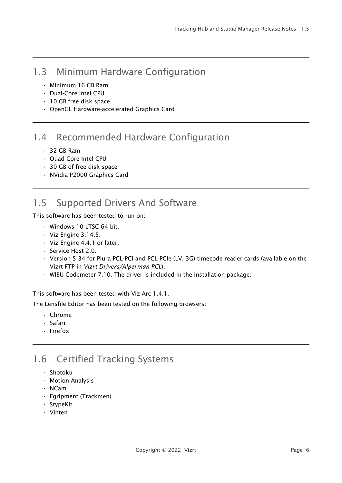### <span id="page-5-0"></span>1.3 Minimum Hardware Configuration

- Minimum 16 GB Ram
- Dual-Core Intel CPU
- 10 GB free disk space
- OpenGL Hardware-accelerated Graphics Card

### <span id="page-5-1"></span>1.4 Recommended Hardware Configuration

- 32 GB Ram
- Quad-Core Intel CPU
- 30 GB of free disk space
- NVidia P2000 Graphics Card

## <span id="page-5-2"></span>1.5 Supported Drivers And Software

This software has been tested to run on:

- Windows 10 LTSC 64-bit.
- Viz Engine 3.14.5.
- Viz Engine 4.4.1 or later.
- Service Host 2.0.
- Version 5.34 for Plura PCL-PCI and PCL-PCIe (LV, 3G) timecode reader cards (available on the Vizrt FTP in *Vizrt Drivers/Alperman PCL*).
- WIBU Codemeter 7.10. The driver is included in the installation package.

This software has been tested with Viz Arc 1.4.1.

The Lensfile Editor has been tested on the following browsers:

- Chrome
- Safari
- Firefox

### <span id="page-5-3"></span>1.6 Certified Tracking Systems

- Shotoku
- Motion Analysis
- NCam
- Egripment (Trackmen)
- StypeKit
- Vinten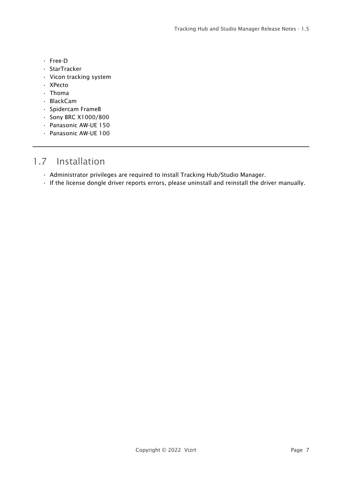- Free-D
- StarTracker
- Vicon tracking system
- XPecto
- Thoma
- BlackCam
- Spidercam FrameB
- Sony BRC X1000/800
- Panasonic AW-UE 150
- Panasonic AW-UE 100

### <span id="page-6-0"></span>1.7 Installation

- Administrator privileges are required to install Tracking Hub/Studio Manager.
- If the license dongle driver reports errors, please uninstall and reinstall the driver manually.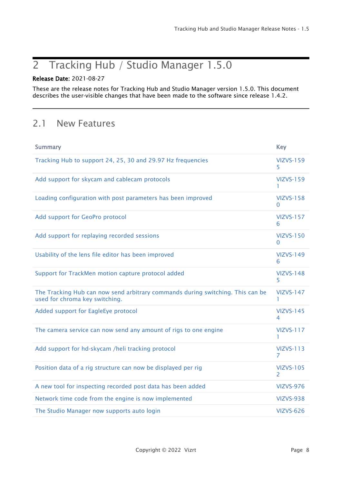## <span id="page-7-0"></span>2 Tracking Hub / Studio Manager 1.5.0

### Release Date: 2021-08-27

These are the release notes for Tracking Hub and Studio Manager version 1.5.0. This document describes the user-visible changes that have been made to the software since release 1.4.2.

### <span id="page-7-1"></span>2.1 New Features

| <b>Summary</b>                                                                                                   | <b>Key</b>                        |
|------------------------------------------------------------------------------------------------------------------|-----------------------------------|
| Tracking Hub to support 24, 25, 30 and 29.97 Hz frequencies                                                      | <b>VIZVS-159</b><br>5.            |
| Add support for skycam and cablecam protocols                                                                    | <b>VIZVS-159</b><br>ı.            |
| Loading configuration with post parameters has been improved                                                     | <b>VIZVS-158</b><br>0             |
| Add support for GeoPro protocol                                                                                  | <b>VIZVS-157</b><br>6             |
| Add support for replaying recorded sessions                                                                      | <b>VIZVS-150</b><br>$\Omega$      |
| Usability of the lens file editor has been improved                                                              | <b>VIZVS-149</b><br>6             |
| Support for TrackMen motion capture protocol added                                                               | <b>VIZVS-148</b><br>5             |
| The Tracking Hub can now send arbitrary commands during switching. This can be<br>used for chroma key switching. | <b>VIZVS-147</b><br>L             |
| Added support for EagleEye protocol                                                                              | <b>VIZVS-145</b><br>4             |
| The camera service can now send any amount of rigs to one engine                                                 | <b>VIZVS-117</b><br>1.            |
| Add support for hd-skycam /heli tracking protocol                                                                | <b>VIZVS-113</b><br>7             |
| Position data of a rig structure can now be displayed per rig                                                    | <b>VIZVS-105</b><br>$\mathcal{P}$ |
| A new tool for inspecting recorded post data has been added                                                      | <b>VIZVS-976</b>                  |
| Network time code from the engine is now implemented                                                             | <b>VIZVS-938</b>                  |
| The Studio Manager now supports auto login                                                                       | <b>VIZVS-626</b>                  |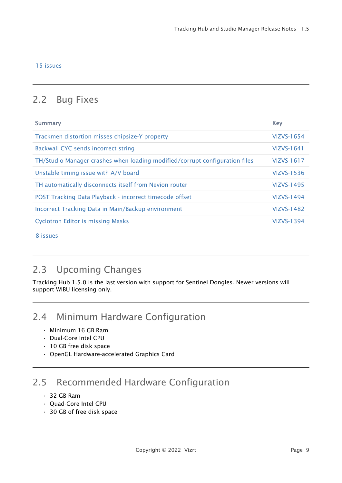#### [15 issues](https://jira.vizrt.com/secure/IssueNavigator.jspa?reset=true&jqlQuery=project+%3D+VIZVS+AND+issuetype+in+%28Improvement%2C+%22New+Feature%22%29+AND+fixVersion+%3D+VizVirtualSet-1.5.0+AND+Status+in+%28Closed%2C+Resolved%29+And+%22Release+Notes+Status%22++in+%28Needed%2C+Done%29++&src=confmacro)

## <span id="page-8-0"></span>2.2 Bug Fixes

| <b>Key</b>        |
|-------------------|
| VIZVS-1654        |
| VIZVS-1641        |
| VIZVS-1617        |
| VIZVS-1536        |
| VIZVS-1495        |
| VIZVS-1494        |
| VIZVS-1482        |
| <b>VIZVS-1394</b> |
|                   |

[8 issues](https://jira.vizrt.com/secure/IssueNavigator.jspa?reset=true&jqlQuery=project+%3D+VIZVS+AND+issuetype+%3D+Bug+AND+fixVersion+%3D+VizVirtualSet-1.5.0+AND+Status+in+%28Closed%2C+Resolved%29+And+%22Release+Notes+Status%22++in+%28Needed%2C+Done%29+++++++&src=confmacro)

### <span id="page-8-1"></span>2.3 Upcoming Changes

Tracking Hub 1.5.0 is the last version with support for Sentinel Dongles. Newer versions will support WIBU licensing only.

### <span id="page-8-2"></span>2.4 Minimum Hardware Configuration

- Minimum 16 GB Ram
- Dual-Core Intel CPU
- 10 GB free disk space
- OpenGL Hardware-accelerated Graphics Card

## <span id="page-8-3"></span>2.5 Recommended Hardware Configuration

- 32 GB Ram
- Quad-Core Intel CPU
- 30 GB of free disk space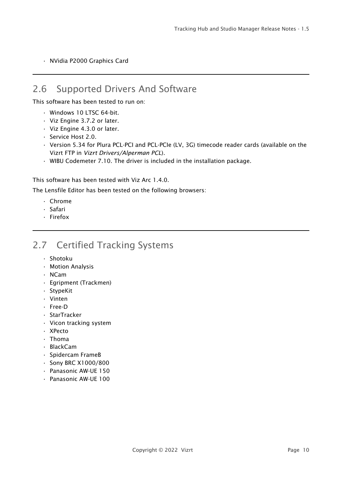• NVidia P2000 Graphics Card

### <span id="page-9-0"></span>2.6 Supported Drivers And Software

This software has been tested to run on:

- Windows 10 LTSC 64-bit.
- Viz Engine 3.7.2 or later.
- Viz Engine 4.3.0 or later.
- Service Host 2.0.
- Version 5.34 for Plura PCL-PCI and PCL-PCIe (LV, 3G) timecode reader cards (available on the Vizrt FTP in *Vizrt Drivers/Alperman PCL*).
- WIBU Codemeter 7.10. The driver is included in the installation package.

This software has been tested with Viz Arc 1.4.0.

The Lensfile Editor has been tested on the following browsers:

- Chrome
- Safari
- Firefox

### <span id="page-9-1"></span>2.7 Certified Tracking Systems

- Shotoku
- Motion Analysis
- NCam
- Egripment (Trackmen)
- StypeKit
- Vinten
- Free-D
- StarTracker
- Vicon tracking system
- XPecto
- Thoma
- BlackCam
- Spidercam FrameB
- Sony BRC X1000/800
- Panasonic AW-UE 150
- Panasonic AW-UE 100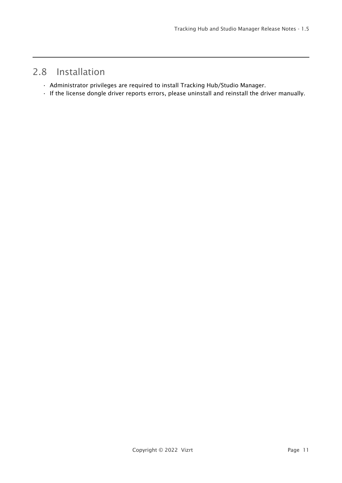### <span id="page-10-0"></span>2.8 Installation

- Administrator privileges are required to install Tracking Hub/Studio Manager.
- If the license dongle driver reports errors, please uninstall and reinstall the driver manually.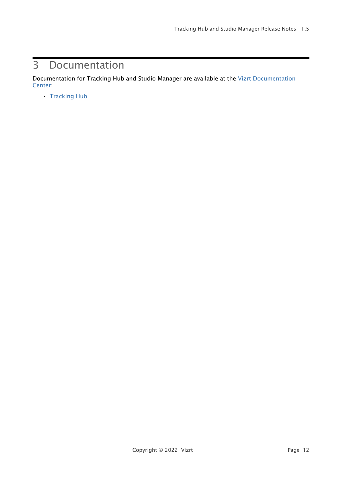## <span id="page-11-0"></span>3 Documentation

[Documentation for Tracking Hub and Studio Manager are available at the](http://documentation.vizrt.com/) Vizrt Documentation Center:

• [Tracking Hub](http://documentation.vizrt.com/tracking-hub)